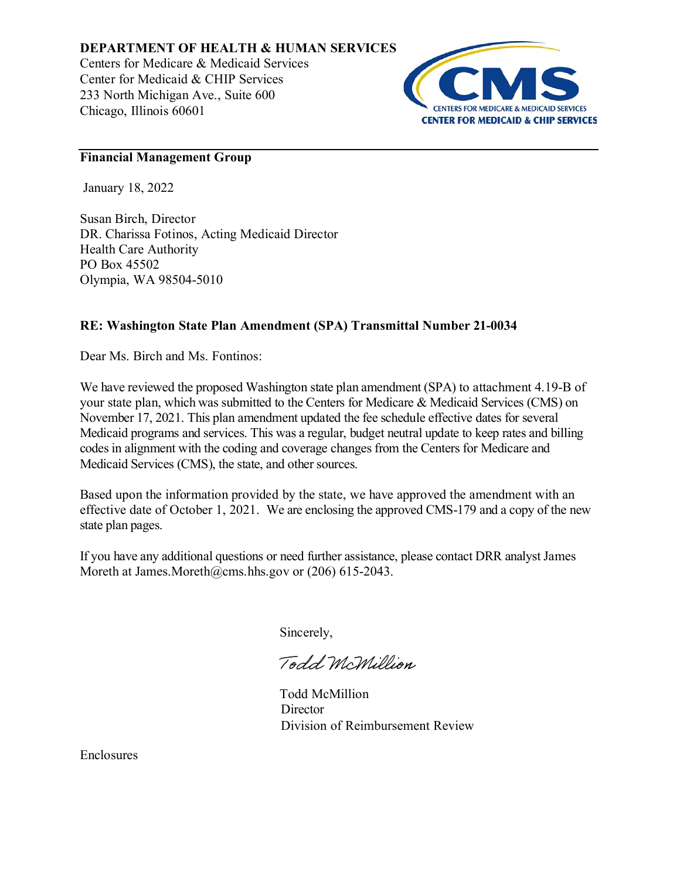**DEPARTMENT OF HEALTH & HUMAN SERVICES**

Centers for Medicare & Medicaid Services Center for Medicaid & CHIP Services 233 North Michigan Ave., Suite 600 Chicago, Illinois 60601



## **Financial Management Group**

January 18, 2022

Susan Birch, Director DR. Charissa Fotinos, Acting Medicaid Director Health Care Authority PO Box 45502 Olympia, WA 98504-5010

# **RE: Washington State Plan Amendment (SPA) Transmittal Number 21-0034**

Dear Ms. Birch and Ms. Fontinos:

We have reviewed the proposed Washington state plan amendment (SPA) to attachment 4.19-B of your state plan, which was submitted to the Centers for Medicare & Medicaid Services (CMS) on November 17, 2021. This plan amendment updated the fee schedule effective dates for several Medicaid programs and services. This was a regular, budget neutral update to keep rates and billing codes in alignment with the coding and coverage changes from the Centers for Medicare and Medicaid Services (CMS), the state, and other sources.

Based upon the information provided by the state, we have approved the amendment with an effective date of October 1, 2021. We are enclosing the approved CMS-179 and a copy of the new state plan pages.

If you have any additional questions or need further assistance, please contact DRR analyst James Moreth at James.Moreth@cms.hhs.gov or (206) 615-2043.

Sincerely,

Todd McMillion

Todd McMillion Director Division of Reimbursement Review

Enclosures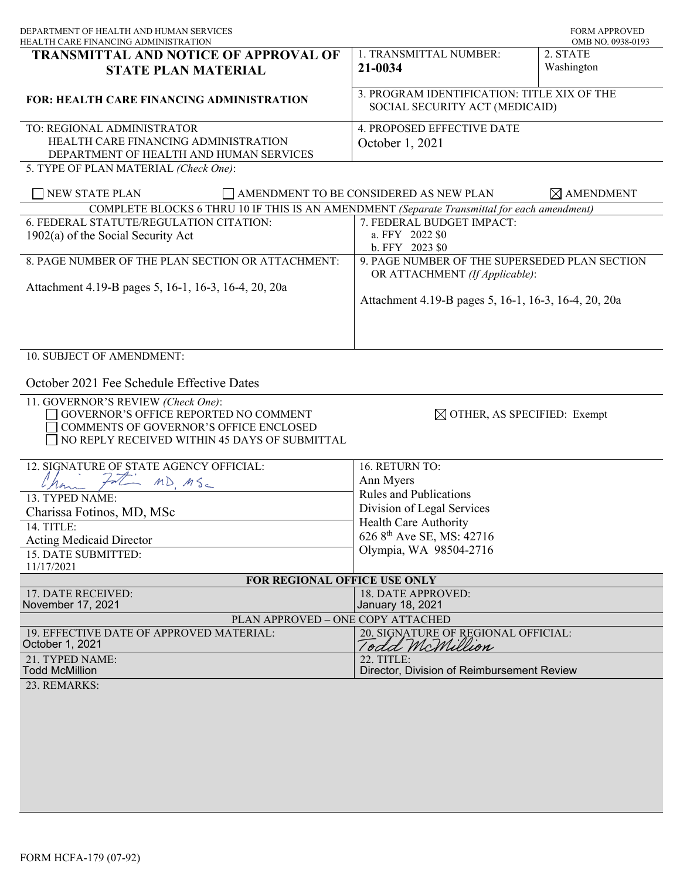| DEPARTMENT OF HEALTH AND HUMAN SERVICES<br>HEALTH CARE FINANCING ADMINISTRATION                                                                                        |                                                                                 | <b>FORM APPROVED</b><br>OMB NO. 0938-0193 |
|------------------------------------------------------------------------------------------------------------------------------------------------------------------------|---------------------------------------------------------------------------------|-------------------------------------------|
| <b>TRANSMITTAL AND NOTICE OF APPROVAL OF</b><br><b>STATE PLAN MATERIAL</b>                                                                                             | 1. TRANSMITTAL NUMBER:<br>21-0034                                               | 2. STATE<br>Washington                    |
| <b>FOR: HEALTH CARE FINANCING ADMINISTRATION</b>                                                                                                                       | 3. PROGRAM IDENTIFICATION: TITLE XIX OF THE<br>SOCIAL SECURITY ACT (MEDICAID)   |                                           |
| TO: REGIONAL ADMINISTRATOR<br>HEALTH CARE FINANCING ADMINISTRATION<br>DEPARTMENT OF HEALTH AND HUMAN SERVICES                                                          | 4. PROPOSED EFFECTIVE DATE<br>October 1, 2021                                   |                                           |
| 5. TYPE OF PLAN MATERIAL (Check One):                                                                                                                                  |                                                                                 |                                           |
| <b>NEW STATE PLAN</b><br>AMENDMENT TO BE CONSIDERED AS NEW PLAN<br>$\boxtimes$ AMENDMENT                                                                               |                                                                                 |                                           |
| COMPLETE BLOCKS 6 THRU 10 IF THIS IS AN AMENDMENT (Separate Transmittal for each amendment)                                                                            |                                                                                 |                                           |
| 6. FEDERAL STATUTE/REGULATION CITATION:<br>$1902(a)$ of the Social Security Act                                                                                        | 7. FEDERAL BUDGET IMPACT:<br>a. FFY 2022 \$0<br>b. FFY 2023 \$0                 |                                           |
| 8. PAGE NUMBER OF THE PLAN SECTION OR ATTACHMENT:                                                                                                                      | 9. PAGE NUMBER OF THE SUPERSEDED PLAN SECTION<br>OR ATTACHMENT (If Applicable): |                                           |
| Attachment 4.19-B pages 5, 16-1, 16-3, 16-4, 20, 20a                                                                                                                   | Attachment 4.19-B pages 5, 16-1, 16-3, 16-4, 20, 20a                            |                                           |
| 10. SUBJECT OF AMENDMENT:<br>October 2021 Fee Schedule Effective Dates                                                                                                 |                                                                                 |                                           |
| 11. GOVERNOR'S REVIEW (Check One):<br>GOVERNOR'S OFFICE REPORTED NO COMMENT<br>COMMENTS OF GOVERNOR'S OFFICE ENCLOSED<br>NO REPLY RECEIVED WITHIN 45 DAYS OF SUBMITTAL | $\boxtimes$ OTHER, AS SPECIFIED: Exempt                                         |                                           |
| 12. SIGNATURE OF STATE AGENCY OFFICIAL:                                                                                                                                | 16. RETURN TO:                                                                  |                                           |
| MDMSc<br>lan                                                                                                                                                           | Ann Myers                                                                       |                                           |
| 13. TYPED NAME:                                                                                                                                                        | <b>Rules and Publications</b>                                                   |                                           |
| Charissa Fotinos, MD, MSc                                                                                                                                              | Division of Legal Services                                                      |                                           |
| 14. TITLE:                                                                                                                                                             | Health Care Authority                                                           |                                           |
| Acting Medicaid Director                                                                                                                                               | 626 8 <sup>th</sup> Ave SE, MS: 42716                                           |                                           |
| 15. DATE SUBMITTED:<br>11/17/2021                                                                                                                                      | Olympia, WA 98504-2716                                                          |                                           |
| FOR REGIONAL OFFICE USE ONLY                                                                                                                                           |                                                                                 |                                           |
| 17. DATE RECEIVED:<br>November 17, 2021                                                                                                                                | 18. DATE APPROVED:<br><b>January 18, 2021</b>                                   |                                           |
| PLAN APPROVED - ONE COPY ATTACHED                                                                                                                                      |                                                                                 |                                           |
| 19. EFFECTIVE DATE OF APPROVED MATERIAL:<br>October 1, 2021                                                                                                            | 20. SIGNATURE OF REGIONAL OFFICIAL:<br>Iodd McMillion                           |                                           |
| 21. TYPED NAME:<br><b>Todd McMillion</b>                                                                                                                               | 22. TITLE:<br>Director, Division of Reimbursement Review                        |                                           |
| 23. REMARKS:                                                                                                                                                           |                                                                                 |                                           |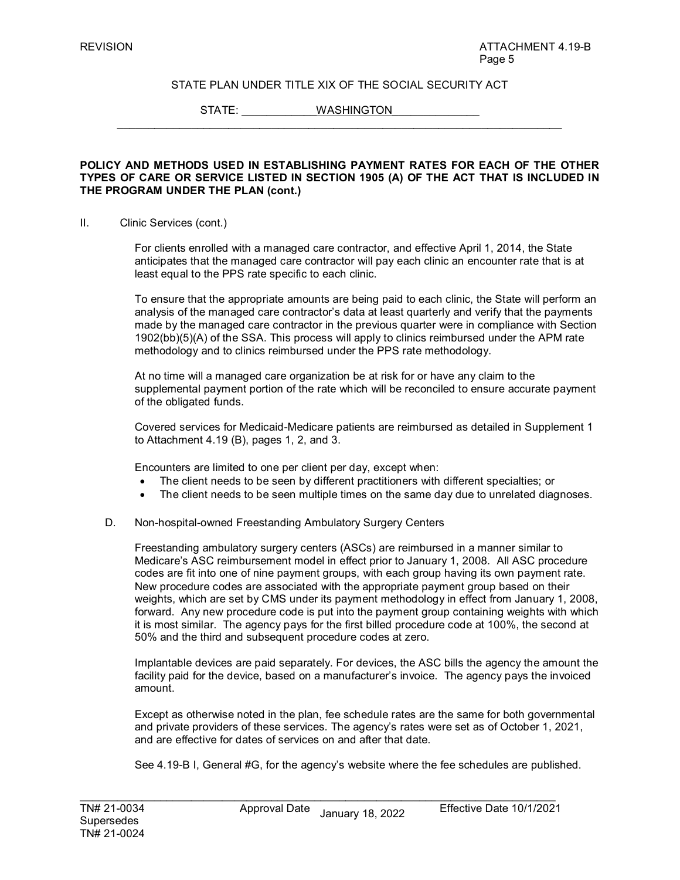\_\_\_\_\_\_\_\_\_\_\_\_\_\_\_\_\_\_\_\_\_\_\_\_\_\_\_\_\_\_\_\_\_\_\_\_\_\_\_\_\_\_\_\_\_\_\_\_\_\_\_\_\_\_\_\_\_\_\_\_\_\_\_\_\_\_\_\_\_\_\_\_

STATE: WASHINGTON

#### **POLICY AND METHODS USED IN ESTABLISHING PAYMENT RATES FOR EACH OF THE OTHER TYPES OF CARE OR SERVICE LISTED IN SECTION 1905 (A) OF THE ACT THAT IS INCLUDED IN THE PROGRAM UNDER THE PLAN (cont.)**

#### II. Clinic Services (cont.)

For clients enrolled with a managed care contractor, and effective April 1, 2014, the State anticipates that the managed care contractor will pay each clinic an encounter rate that is at least equal to the PPS rate specific to each clinic.

To ensure that the appropriate amounts are being paid to each clinic, the State will perform an analysis of the managed care contractor's data at least quarterly and verify that the payments made by the managed care contractor in the previous quarter were in compliance with Section 1902(bb)(5)(A) of the SSA. This process will apply to clinics reimbursed under the APM rate methodology and to clinics reimbursed under the PPS rate methodology.

At no time will a managed care organization be at risk for or have any claim to the supplemental payment portion of the rate which will be reconciled to ensure accurate payment of the obligated funds.

Covered services for Medicaid-Medicare patients are reimbursed as detailed in Supplement 1 to Attachment 4.19 (B), pages 1, 2, and 3.

Encounters are limited to one per client per day, except when:

- The client needs to be seen by different practitioners with different specialties; or
- The client needs to be seen multiple times on the same day due to unrelated diagnoses.

#### D. Non-hospital-owned Freestanding Ambulatory Surgery Centers

Freestanding ambulatory surgery centers (ASCs) are reimbursed in a manner similar to Medicare's ASC reimbursement model in effect prior to January 1, 2008*.* All ASC procedure codes are fit into one of nine payment groups, with each group having its own payment rate. New procedure codes are associated with the appropriate payment group based on their weights, which are set by CMS under its payment methodology in effect from January 1, 2008, forward. Any new procedure code is put into the payment group containing weights with which it is most similar. The agency pays for the first billed procedure code at 100%, the second at 50% and the third and subsequent procedure codes at zero.

Implantable devices are paid separately. For devices, the ASC bills the agency the amount the facility paid for the device, based on a manufacturer's invoice. The agency pays the invoiced amount.

Except as otherwise noted in the plan, fee schedule rates are the same for both governmental and private providers of these services. The agency's rates were set as of October 1, 2021, and are effective for dates of services on and after that date.

See 4.19-B I, General #G, for the agency's website where the fee schedules are published.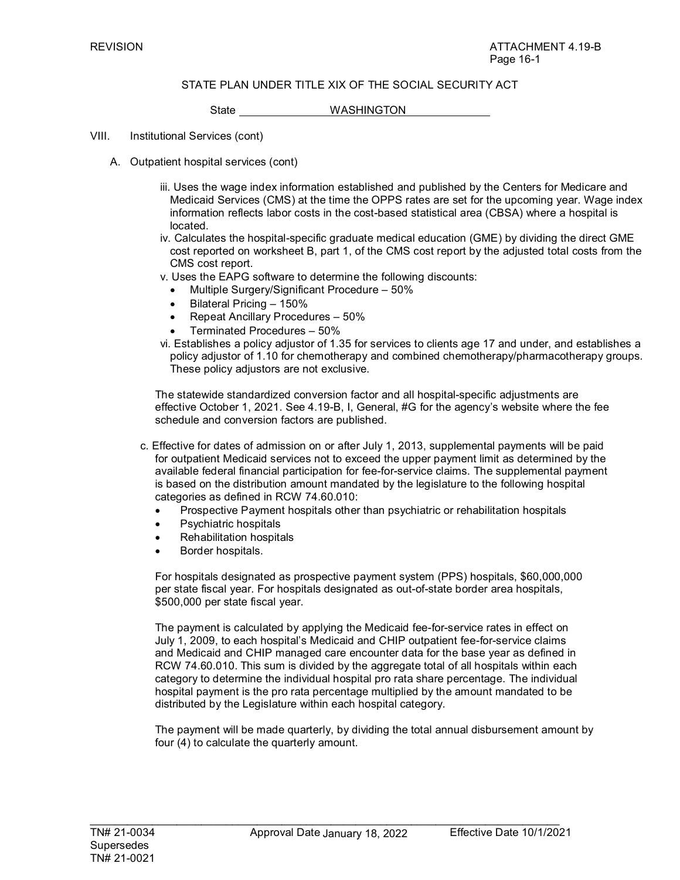State WASHINGTON

- VIII. Institutional Services (cont)
	- A. Outpatient hospital services (cont)
		- iii. Uses the wage index information established and published by the Centers for Medicare and Medicaid Services (CMS) at the time the OPPS rates are set for the upcoming year. Wage index information reflects labor costs in the cost-based statistical area (CBSA) where a hospital is located.
		- iv. Calculates the hospital-specific graduate medical education (GME) by dividing the direct GME cost reported on worksheet B, part 1, of the CMS cost report by the adjusted total costs from the CMS cost report.
		- v. Uses the EAPG software to determine the following discounts:
			- Multiple Surgery/Significant Procedure 50%
			- Bilateral Pricing 150%
			- Repeat Ancillary Procedures 50%
			- Terminated Procedures 50%
		- vi. Establishes a policy adjustor of 1.35 for services to clients age 17 and under, and establishes a policy adjustor of 1.10 for chemotherapy and combined chemotherapy/pharmacotherapy groups. These policy adjustors are not exclusive.

The statewide standardized conversion factor and all hospital-specific adjustments are effective October 1, 2021. See 4.19-B, I, General, #G for the agency's website where the fee schedule and conversion factors are published.

- c. Effective for dates of admission on or after July 1, 2013, supplemental payments will be paid for outpatient Medicaid services not to exceed the upper payment limit as determined by the available federal financial participation for fee-for-service claims. The supplemental payment is based on the distribution amount mandated by the legislature to the following hospital categories as defined in RCW 74.60.010:
	- Prospective Payment hospitals other than psychiatric or rehabilitation hospitals
	- Psychiatric hospitals
	- Rehabilitation hospitals
	- Border hospitals.

For hospitals designated as prospective payment system (PPS) hospitals, \$60,000,000 per state fiscal year. For hospitals designated as out-of-state border area hospitals, \$500,000 per state fiscal year.

The payment is calculated by applying the Medicaid fee-for-service rates in effect on July 1, 2009, to each hospital's Medicaid and CHIP outpatient fee-for-service claims and Medicaid and CHIP managed care encounter data for the base year as defined in RCW 74.60.010. This sum is divided by the aggregate total of all hospitals within each category to determine the individual hospital pro rata share percentage. The individual hospital payment is the pro rata percentage multiplied by the amount mandated to be distributed by the Legislature within each hospital category.

The payment will be made quarterly, by dividing the total annual disbursement amount by four (4) to calculate the quarterly amount.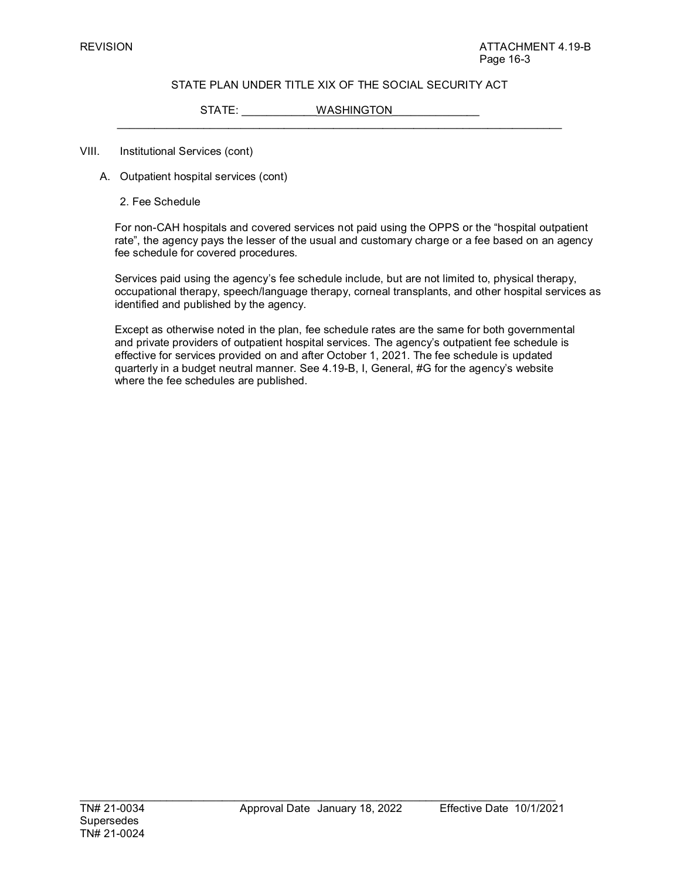\_\_\_\_\_\_\_\_\_\_\_\_\_\_\_\_\_\_\_\_\_\_\_\_\_\_\_\_\_\_\_\_\_\_\_\_\_\_\_\_\_\_\_\_\_\_\_\_\_\_\_\_\_\_\_\_\_\_\_\_\_\_\_\_\_\_\_\_\_\_\_\_

STATE: WASHINGTON

#### VIII. Institutional Services (cont)

A. Outpatient hospital services (cont)

2. Fee Schedule

For non-CAH hospitals and covered services not paid using the OPPS or the "hospital outpatient rate", the agency pays the lesser of the usual and customary charge or a fee based on an agency fee schedule for covered procedures*.* 

Services paid using the agency's fee schedule include, but are not limited to, physical therapy, occupational therapy, speech/language therapy, corneal transplants, and other hospital services as identified and published by the agency.

Except as otherwise noted in the plan, fee schedule rates are the same for both governmental and private providers of outpatient hospital services. The agency's outpatient fee schedule is effective for services provided on and after October 1, 2021. The fee schedule is updated quarterly in a budget neutral manner. See 4.19-B, I, General, #G for the agency's website where the fee schedules are published.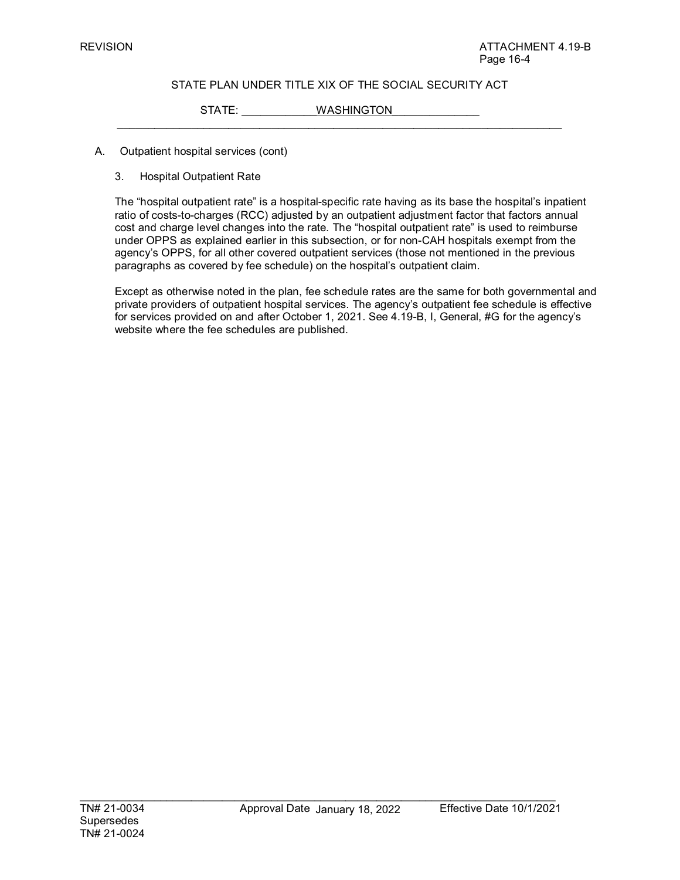\_\_\_\_\_\_\_\_\_\_\_\_\_\_\_\_\_\_\_\_\_\_\_\_\_\_\_\_\_\_\_\_\_\_\_\_\_\_\_\_\_\_\_\_\_\_\_\_\_\_\_\_\_\_\_\_\_\_\_\_\_\_\_\_\_\_\_\_\_\_\_\_

STATE: WASHINGTON

- A. Outpatient hospital services (cont)
	- 3. Hospital Outpatient Rate

The "hospital outpatient rate" is a hospital-specific rate having as its base the hospital's inpatient ratio of costs-to-charges (RCC) adjusted by an outpatient adjustment factor that factors annual cost and charge level changes into the rate. The "hospital outpatient rate" is used to reimburse under OPPS as explained earlier in this subsection, or for non-CAH hospitals exempt from the agency's OPPS, for all other covered outpatient services (those not mentioned in the previous paragraphs as covered by fee schedule) on the hospital's outpatient claim.

Except as otherwise noted in the plan, fee schedule rates are the same for both governmental and private providers of outpatient hospital services. The agency's outpatient fee schedule is effective for services provided on and after October 1, 2021. See 4.19-B, I, General, #G for the agency's website where the fee schedules are published.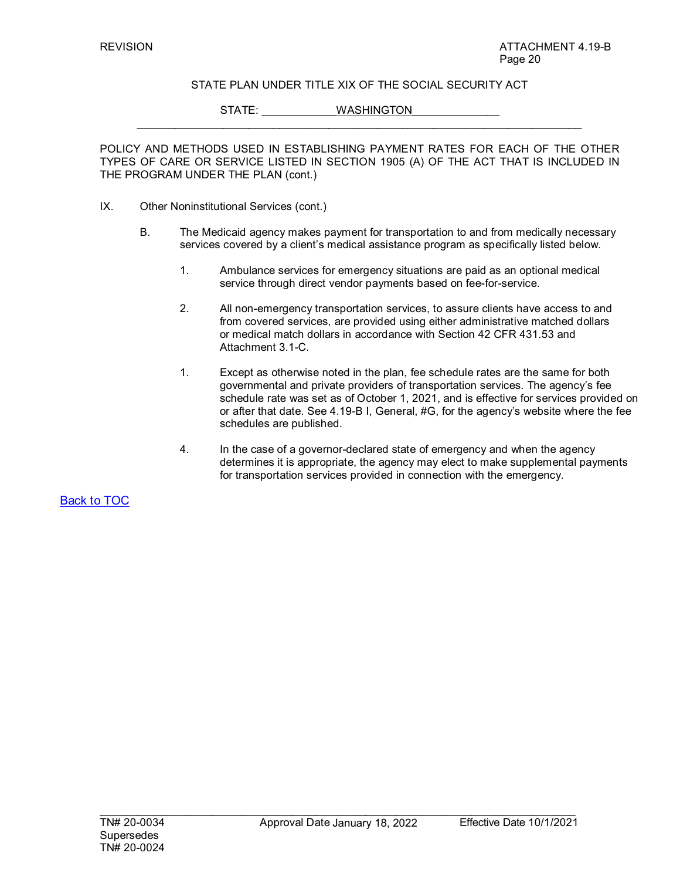\_\_\_\_\_\_\_\_\_\_\_\_\_\_\_\_\_\_\_\_\_\_\_\_\_\_\_\_\_\_\_\_\_\_\_\_\_\_\_\_\_\_\_\_\_\_\_\_\_\_\_\_\_\_\_\_\_\_\_\_\_\_\_\_\_\_\_\_\_\_\_\_

STATE: WASHINGTON

POLICY AND METHODS USED IN ESTABLISHING PAYMENT RATES FOR EACH OF THE OTHER TYPES OF CARE OR SERVICE LISTED IN SECTION 1905 (A) OF THE ACT THAT IS INCLUDED IN THE PROGRAM UNDER THE PLAN (cont.)

- IX. Other Noninstitutional Services (cont.)
	- B. The Medicaid agency makes payment for transportation to and from medically necessary services covered by a client's medical assistance program as specifically listed below.
		- 1. Ambulance services for emergency situations are paid as an optional medical service through direct vendor payments based on fee-for-service.
		- 2. All non-emergency transportation services, to assure clients have access to and from covered services, are provided using either administrative matched dollars or medical match dollars in accordance with Section 42 CFR 431.53 and Attachment 3.1-C.
		- 1. Except as otherwise noted in the plan, fee schedule rates are the same for both governmental and private providers of transportation services. The agency's fee schedule rate was set as of October 1, 2021, and is effective for services provided on or after that date. See 4.19-B I, General, #G, for the agency's website where the fee schedules are published.
		- 4. In the case of a governor-declared state of emergency and when the agency determines it is appropriate, the agency may elect to make supplemental payments for transportation services provided in connection with the emergency.

Back to TOC